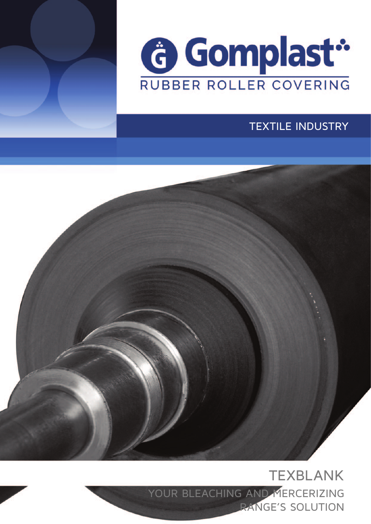



### TEXTILE INDUSTRY

TEXBLANK YOUR BLEACHING AND MERCERIZING RANGE'S SOLUTION